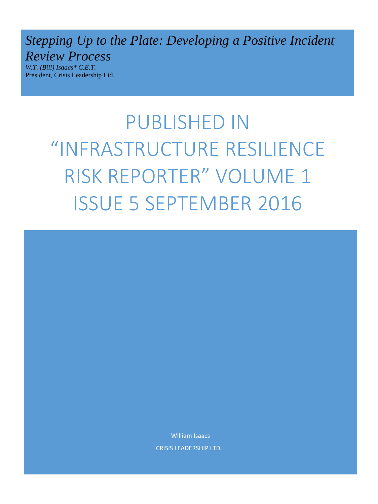*Stepping Up to the Plate: Developing a Positive Incident Review Process* 

*W.T. (Bill) Isaacs\* C.E.T.*  President, Crisis Leadership Ltd.

> PUBLISHED IN "INFRASTRUCTURE RESILIENCE RISK REPORTER" VOLUME 1 ISSUE 5 SEPTEMBER 2016

> > William Isaacs

CRISIS LEADERSHIP LTD.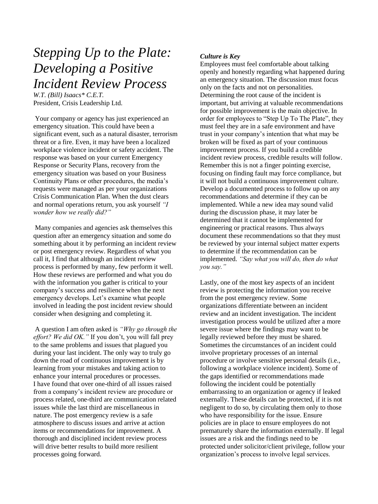# *Stepping Up to the Plate: Developing a Positive Incident Review Process*

*W.T. (Bill) Isaacs\* C.E.T.*  President, Crisis Leadership Ltd.

Your company or agency has just experienced an emergency situation. This could have been a significant event, such as a natural disaster, terrorism threat or a fire. Even, it may have been a localized workplace violence incident or safety accident. The response was based on your current Emergency Response or Security Plans, recovery from the emergency situation was based on your Business Continuity Plans or other procedures, the media's requests were managed as per your organizations Crisis Communication Plan. When the dust clears and normal operations return, you ask yourself *"I wonder how we really did?"* 

Many companies and agencies ask themselves this question after an emergency situation and some do something about it by performing an incident review or post emergency review. Regardless of what you call it, I find that although an incident review process is performed by many, few perform it well. How these reviews are performed and what you do with the information you gather is critical to your company's success and resilience when the next emergency develops. Let's examine what people involved in leading the post incident review should consider when designing and completing it.

A question I am often asked is *"Why go through the effort? We did OK."* If you don't, you will fall prey to the same problems and issues that plagued you during your last incident. The only way to truly go down the road of continuous improvement is by learning from your mistakes and taking action to enhance your internal procedures or processes. I have found that over one-third of all issues raised from a company's incident review are procedure or process related, one-third are communication related issues while the last third are miscellaneous in nature. The post emergency review is a safe atmosphere to discuss issues and arrive at action items or recommendations for improvement. A thorough and disciplined incident review process will drive better results to build more resilient processes going forward.

# *Culture is Key*

Employees must feel comfortable about talking openly and honestly regarding what happened during an emergency situation. The discussion must focus only on the facts and not on personalities. Determining the root cause of the incident is important, but arriving at valuable recommendations for possible improvement is the main objective. In order for employees to "Step Up To The Plate", they must feel they are in a safe environment and have trust in your company's intention that what may be broken will be fixed as part of your continuous improvement process. If you build a credible incident review process, credible results will follow. Remember this is not a finger pointing exercise, focusing on finding fault may force compliance, but it will not build a continuous improvement culture. Develop a documented process to follow up on any recommendations and determine if they can be implemented. While a new idea may sound valid during the discussion phase, it may later be determined that it cannot be implemented for engineering or practical reasons. Thus always document these recommendations so that they must be reviewed by your internal subject matter experts to determine if the recommendation can be implemented. *"Say what you will do, then do what you say."* 

Lastly, one of the most key aspects of an incident review is protecting the information you receive from the post emergency review. Some organizations differentiate between an incident review and an incident investigation. The incident investigation process would be utilized after a more severe issue where the findings may want to be legally reviewed before they must be shared. Sometimes the circumstances of an incident could involve proprietary processes of an internal procedure or involve sensitive personal details (i.e., following a workplace violence incident). Some of the gaps identified or recommendations made following the incident could be potentially embarrassing to an organization or agency if leaked externally. These details can be protected, if it is not negligent to do so, by circulating them only to those who have responsibility for the issue. Ensure policies are in place to ensure employees do not prematurely share the information externally. If legal issues are a risk and the findings need to be protected under solicitor/client privilege, follow your organization's process to involve legal services.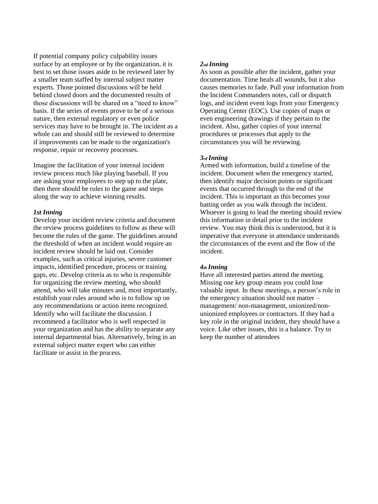If potential company policy culpability issues surface by an employee or by the organization, it is best to set those issues aside to be reviewed later by a smaller team staffed by internal subject matter experts. Those pointed discussions will be held behind closed doors and the documented results of those discussions will be shared on a "need to know" basis. If the series of events prove to be of a serious nature, then external regulatory or even police services may have to be brought in. The incident as a whole can and should still be reviewed to determine if improvements can be made to the organization's response, repair or recovery processes.

Imagine the facilitation of your internal incident review process much like playing baseball. If you are asking your employees to step up to the plate, then there should be rules to the game and steps along the way to achieve winning results.

#### *1st Inning*

Develop your incident review criteria and document the review process guidelines to follow as these will become the rules of the game. The guidelines around the threshold of when an incident would require an incident review should be laid out. Consider examples, such as critical injuries, severe customer impacts, identified procedure, process or training gaps, etc. Develop criteria as to who is responsible for organizing the review meeting, who should attend, who will take minutes and, most importantly, establish your rules around who is to follow up on any recommendations or action items recognized. Identify who will facilitate the discussion. I recommend a facilitator who is well respected in your organization and has the ability to separate any internal departmental bias. Alternatively, bring in an external subject matter expert who can either facilitate or assist in the process.

## *2nd Inning*

As soon as possible after the incident, gather your documentation. Time heals all wounds, but it also causes memories to fade. Pull your information from the Incident Commanders notes, call or dispatch logs, and incident event logs from your Emergency Operating Center (EOC). Use copies of maps or even engineering drawings if they pertain to the incident. Also, gather copies of your internal procedures or processes that apply to the circumstances you will be reviewing.

#### *3rd Inning*

Armed with information, build a timeline of the incident. Document when the emergency started, then identify major decision points or significant events that occurred through to the end of the incident. This is important as this becomes your batting order as you walk through the incident. Whoever is going to lead the meeting should review this information in detail prior to the incident review. You may think this is understood, but it is imperative that everyone in attendance understands the circumstances of the event and the flow of the incident.

#### *4th Inning*

Have all interested parties attend the meeting. Missing one key group means you could lose valuable input. In these meetings, a person's role in the emergency situation should not matter – management/ non-management, unionized/nonunionized employees or contractors. If they had a key role in the original incident, they should have a voice. Like other issues, this is a balance. Try to keep the number of attendees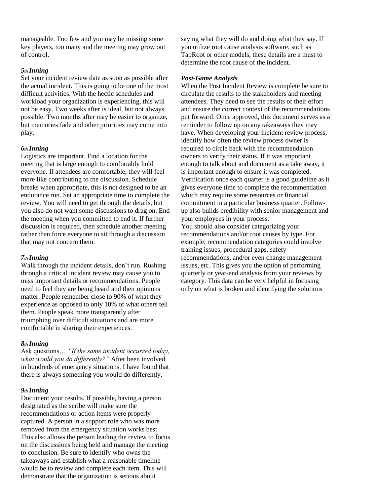manageable. Too few and you may be missing some key players, too many and the meeting may grow out of control.

## *5th Inning*

Set your incident review date as soon as possible after the actual incident. This is going to be one of the most difficult activities. With the hectic schedules and workload your organization is experiencing, this will not be easy. Two weeks after is ideal, but not always possible. Two months after may be easier to organize, but memories fade and other priorities may come into play.

## *6th Inning*

Logistics are important. Find a location for the meeting that is large enough to comfortably hold everyone. If attendees are comfortable, they will feel more like contributing to the discussion. Schedule breaks when appropriate, this is not designed to be an endurance run. Set an appropriate time to complete the review. You will need to get through the details, but you also do not want some discussions to drag on. End the meeting when you committed to end it. If further discussion is required, then schedule another meeting rather than force everyone to sit through a discussion that may not concern them.

# *7th Inning*

Walk through the incident details, don't run. Rushing through a critical incident review may cause you to miss important details or recommendations. People need to feel they are being heard and their opinions matter. People remember close to 90% of what they experience as opposed to only 10% of what others tell them. People speak more transparently after triumphing over difficult situations and are more comfortable in sharing their experiences.

# *8th Inning*

Ask questions… *"If the same incident occurred today, what would you do differently?"* After been involved in hundreds of emergency situations, I have found that there is always something you would do differently.

#### *9th Inning*

Document your results. If possible, having a person designated as the scribe will make sure the recommendations or action items were properly captured. A person in a support role who was more removed from the emergency situation works best. This also allows the person leading the review to focus on the discussions being held and manage the meeting to conclusion. Be sure to identify who owns the takeaways and establish what a reasonable timeline would be to review and complete each item. This will demonstrate that the organization is serious about

saying what they will do and doing what they say. If you utilize root cause analysis software, such as TapRoot or other models, these details are a must to determine the root cause of the incident.

#### *Post-Game Analysis*

When the Post Incident Review is complete be sure to circulate the results to the stakeholders and meeting attendees. They need to see the results of their effort and ensure the correct context of the recommendations put forward. Once approved, this document serves as a reminder to follow up on any takeaways they may have. When developing your incident review process, identify how often the review process owner is required to circle back with the recommendation owners to verify their status. If it was important enough to talk about and document as a take away, it is important enough to ensure it was completed. Verification once each quarter is a good guideline as it gives everyone time to complete the recommendation which may require some resources or financial commitment in a particular business quarter. Followup also builds credibility with senior management and your employees in your process. You should also consider categorizing your recommendations and/or root causes by type. For example, recommendation categories could involve training issues, procedural gaps, safety recommendations, and/or even change management issues, etc. This gives you the option of performing quarterly or year-end analysis from your reviews by category. This data can be very helpful in focusing only on what is broken and identifying the solutions